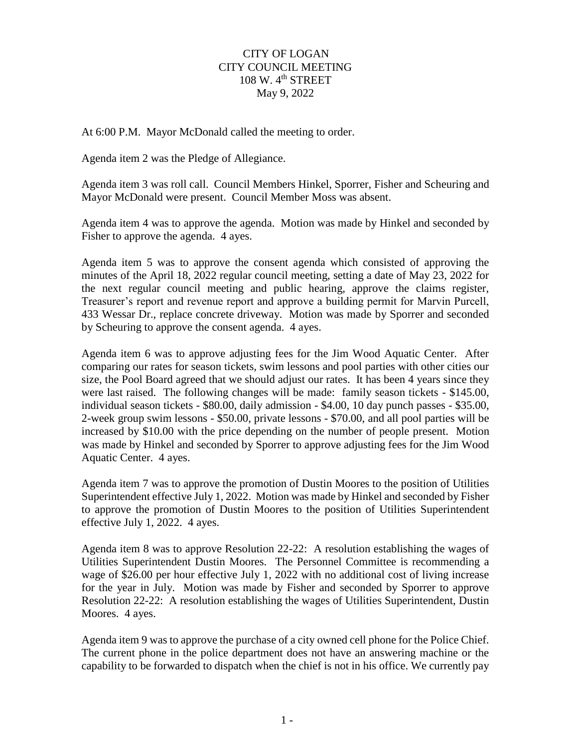## CITY OF LOGAN CITY COUNCIL MEETING 108 W. 4<sup>th</sup> STREET May 9, 2022

At 6:00 P.M. Mayor McDonald called the meeting to order.

Agenda item 2 was the Pledge of Allegiance.

Agenda item 3 was roll call. Council Members Hinkel, Sporrer, Fisher and Scheuring and Mayor McDonald were present. Council Member Moss was absent.

Agenda item 4 was to approve the agenda. Motion was made by Hinkel and seconded by Fisher to approve the agenda. 4 ayes.

Agenda item 5 was to approve the consent agenda which consisted of approving the minutes of the April 18, 2022 regular council meeting, setting a date of May 23, 2022 for the next regular council meeting and public hearing, approve the claims register, Treasurer's report and revenue report and approve a building permit for Marvin Purcell, 433 Wessar Dr., replace concrete driveway. Motion was made by Sporrer and seconded by Scheuring to approve the consent agenda. 4 ayes.

Agenda item 6 was to approve adjusting fees for the Jim Wood Aquatic Center. After comparing our rates for season tickets, swim lessons and pool parties with other cities our size, the Pool Board agreed that we should adjust our rates. It has been 4 years since they were last raised. The following changes will be made: family season tickets - \$145.00, individual season tickets - \$80.00, daily admission - \$4.00, 10 day punch passes - \$35.00, 2-week group swim lessons - \$50.00, private lessons - \$70.00, and all pool parties will be increased by \$10.00 with the price depending on the number of people present. Motion was made by Hinkel and seconded by Sporrer to approve adjusting fees for the Jim Wood Aquatic Center. 4 ayes.

Agenda item 7 was to approve the promotion of Dustin Moores to the position of Utilities Superintendent effective July 1, 2022. Motion was made by Hinkel and seconded by Fisher to approve the promotion of Dustin Moores to the position of Utilities Superintendent effective July 1, 2022. 4 ayes.

Agenda item 8 was to approve Resolution 22-22: A resolution establishing the wages of Utilities Superintendent Dustin Moores. The Personnel Committee is recommending a wage of \$26.00 per hour effective July 1, 2022 with no additional cost of living increase for the year in July. Motion was made by Fisher and seconded by Sporrer to approve Resolution 22-22: A resolution establishing the wages of Utilities Superintendent, Dustin Moores. 4 ayes.

Agenda item 9 was to approve the purchase of a city owned cell phone for the Police Chief. The current phone in the police department does not have an answering machine or the capability to be forwarded to dispatch when the chief is not in his office. We currently pay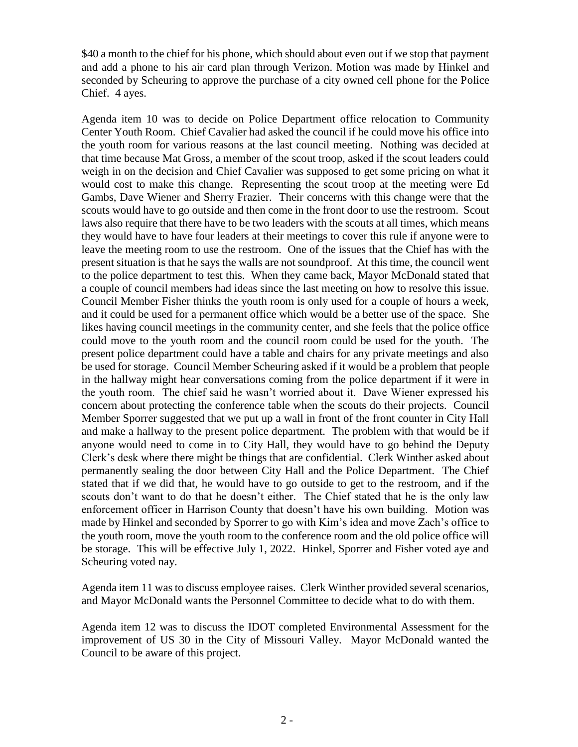\$40 a month to the chief for his phone, which should about even out if we stop that payment and add a phone to his air card plan through Verizon. Motion was made by Hinkel and seconded by Scheuring to approve the purchase of a city owned cell phone for the Police Chief. 4 ayes.

Agenda item 10 was to decide on Police Department office relocation to Community Center Youth Room. Chief Cavalier had asked the council if he could move his office into the youth room for various reasons at the last council meeting. Nothing was decided at that time because Mat Gross, a member of the scout troop, asked if the scout leaders could weigh in on the decision and Chief Cavalier was supposed to get some pricing on what it would cost to make this change. Representing the scout troop at the meeting were Ed Gambs, Dave Wiener and Sherry Frazier. Their concerns with this change were that the scouts would have to go outside and then come in the front door to use the restroom. Scout laws also require that there have to be two leaders with the scouts at all times, which means they would have to have four leaders at their meetings to cover this rule if anyone were to leave the meeting room to use the restroom. One of the issues that the Chief has with the present situation is that he says the walls are not soundproof. At this time, the council went to the police department to test this. When they came back, Mayor McDonald stated that a couple of council members had ideas since the last meeting on how to resolve this issue. Council Member Fisher thinks the youth room is only used for a couple of hours a week, and it could be used for a permanent office which would be a better use of the space. She likes having council meetings in the community center, and she feels that the police office could move to the youth room and the council room could be used for the youth. The present police department could have a table and chairs for any private meetings and also be used for storage. Council Member Scheuring asked if it would be a problem that people in the hallway might hear conversations coming from the police department if it were in the youth room. The chief said he wasn't worried about it. Dave Wiener expressed his concern about protecting the conference table when the scouts do their projects. Council Member Sporrer suggested that we put up a wall in front of the front counter in City Hall and make a hallway to the present police department. The problem with that would be if anyone would need to come in to City Hall, they would have to go behind the Deputy Clerk's desk where there might be things that are confidential. Clerk Winther asked about permanently sealing the door between City Hall and the Police Department. The Chief stated that if we did that, he would have to go outside to get to the restroom, and if the scouts don't want to do that he doesn't either. The Chief stated that he is the only law enforcement officer in Harrison County that doesn't have his own building. Motion was made by Hinkel and seconded by Sporrer to go with Kim's idea and move Zach's office to the youth room, move the youth room to the conference room and the old police office will be storage. This will be effective July 1, 2022. Hinkel, Sporrer and Fisher voted aye and Scheuring voted nay.

Agenda item 11 was to discuss employee raises. Clerk Winther provided several scenarios, and Mayor McDonald wants the Personnel Committee to decide what to do with them.

Agenda item 12 was to discuss the IDOT completed Environmental Assessment for the improvement of US 30 in the City of Missouri Valley. Mayor McDonald wanted the Council to be aware of this project.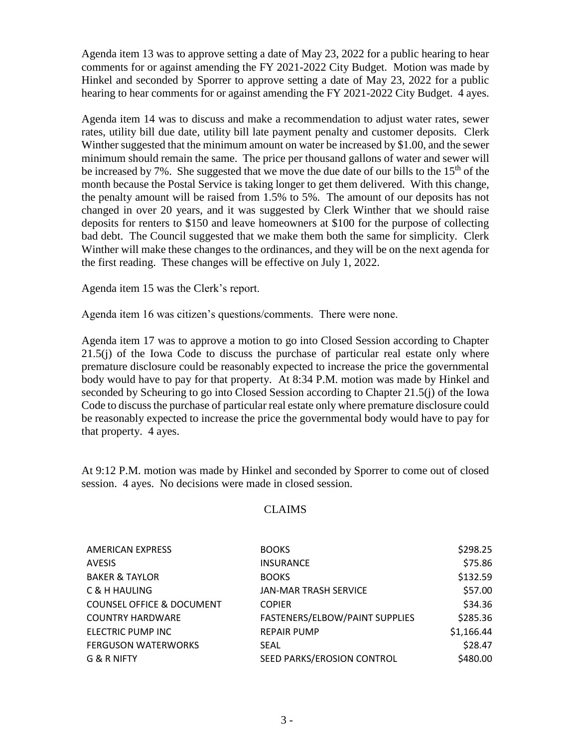Agenda item 13 was to approve setting a date of May 23, 2022 for a public hearing to hear comments for or against amending the FY 2021-2022 City Budget. Motion was made by Hinkel and seconded by Sporrer to approve setting a date of May 23, 2022 for a public hearing to hear comments for or against amending the FY 2021-2022 City Budget. 4 ayes.

Agenda item 14 was to discuss and make a recommendation to adjust water rates, sewer rates, utility bill due date, utility bill late payment penalty and customer deposits. Clerk Winther suggested that the minimum amount on water be increased by \$1.00, and the sewer minimum should remain the same. The price per thousand gallons of water and sewer will be increased by 7%. She suggested that we move the due date of our bills to the 15<sup>th</sup> of the month because the Postal Service is taking longer to get them delivered. With this change, the penalty amount will be raised from 1.5% to 5%. The amount of our deposits has not changed in over 20 years, and it was suggested by Clerk Winther that we should raise deposits for renters to \$150 and leave homeowners at \$100 for the purpose of collecting bad debt. The Council suggested that we make them both the same for simplicity. Clerk Winther will make these changes to the ordinances, and they will be on the next agenda for the first reading. These changes will be effective on July 1, 2022.

Agenda item 15 was the Clerk's report.

Agenda item 16 was citizen's questions/comments. There were none.

Agenda item 17 was to approve a motion to go into Closed Session according to Chapter 21.5(j) of the Iowa Code to discuss the purchase of particular real estate only where premature disclosure could be reasonably expected to increase the price the governmental body would have to pay for that property. At 8:34 P.M. motion was made by Hinkel and seconded by Scheuring to go into Closed Session according to Chapter 21.5(j) of the Iowa Code to discuss the purchase of particular real estate only where premature disclosure could be reasonably expected to increase the price the governmental body would have to pay for that property. 4 ayes.

At 9:12 P.M. motion was made by Hinkel and seconded by Sporrer to come out of closed session. 4 ayes. No decisions were made in closed session.

## CLAIMS

| <b>AMERICAN EXPRESS</b>              | <b>BOOKS</b>                   | \$298.25   |
|--------------------------------------|--------------------------------|------------|
| <b>AVESIS</b>                        | <b>INSURANCE</b>               | \$75.86    |
| <b>BAKER &amp; TAYLOR</b>            | <b>BOOKS</b>                   | \$132.59   |
| C & H HAULING                        | <b>JAN-MAR TRASH SERVICE</b>   | \$57.00    |
| <b>COUNSEL OFFICE &amp; DOCUMENT</b> | <b>COPIER</b>                  | \$34.36    |
| <b>COUNTRY HARDWARE</b>              | FASTENERS/ELBOW/PAINT SUPPLIES | \$285.36   |
| ELECTRIC PUMP INC                    | <b>REPAIR PUMP</b>             | \$1,166.44 |
| <b>FERGUSON WATERWORKS</b>           | <b>SEAL</b>                    | \$28.47    |
| G & R NIFTY                          | SEED PARKS/EROSION CONTROL     | \$480.00   |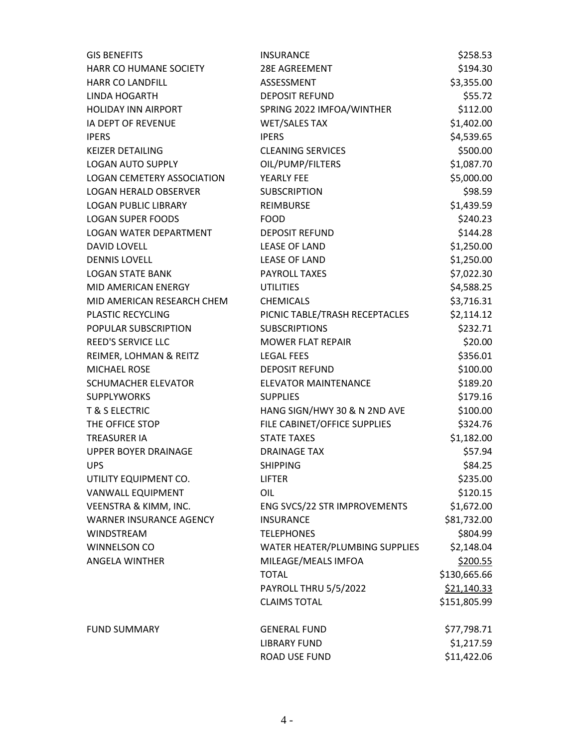| <b>GIS BENEFITS</b>               | <b>INSURANCE</b>               | \$258.53     |
|-----------------------------------|--------------------------------|--------------|
| HARR CO HUMANE SOCIETY            | 28E AGREEMENT                  | \$194.30     |
| <b>HARR CO LANDFILL</b>           | ASSESSMENT                     | \$3,355.00   |
| <b>LINDA HOGARTH</b>              | <b>DEPOSIT REFUND</b>          | \$55.72      |
| <b>HOLIDAY INN AIRPORT</b>        | SPRING 2022 IMFOA/WINTHER      | \$112.00     |
| IA DEPT OF REVENUE                | <b>WET/SALES TAX</b>           | \$1,402.00   |
| <b>IPERS</b>                      | <b>IPERS</b>                   | \$4,539.65   |
| KEIZER DETAILING                  | <b>CLEANING SERVICES</b>       | \$500.00     |
| <b>LOGAN AUTO SUPPLY</b>          | OIL/PUMP/FILTERS               | \$1,087.70   |
| <b>LOGAN CEMETERY ASSOCIATION</b> | YEARLY FEE                     | \$5,000.00   |
| <b>LOGAN HERALD OBSERVER</b>      | <b>SUBSCRIPTION</b>            | \$98.59      |
| <b>LOGAN PUBLIC LIBRARY</b>       | REIMBURSE                      | \$1,439.59   |
| <b>LOGAN SUPER FOODS</b>          | <b>FOOD</b>                    | \$240.23     |
| <b>LOGAN WATER DEPARTMENT</b>     | <b>DEPOSIT REFUND</b>          | \$144.28     |
| DAVID LOVELL                      | <b>LEASE OF LAND</b>           | \$1,250.00   |
| <b>DENNIS LOVELL</b>              | <b>LEASE OF LAND</b>           | \$1,250.00   |
| <b>LOGAN STATE BANK</b>           | PAYROLL TAXES                  | \$7,022.30   |
| MID AMERICAN ENERGY               | <b>UTILITIES</b>               | \$4,588.25   |
| MID AMERICAN RESEARCH CHEM        | <b>CHEMICALS</b>               | \$3,716.31   |
| <b>PLASTIC RECYCLING</b>          | PICNIC TABLE/TRASH RECEPTACLES | \$2,114.12   |
| POPULAR SUBSCRIPTION              | <b>SUBSCRIPTIONS</b>           | \$232.71     |
| REED'S SERVICE LLC                | <b>MOWER FLAT REPAIR</b>       | \$20.00      |
| REIMER, LOHMAN & REITZ            | <b>LEGAL FEES</b>              | \$356.01     |
| MICHAEL ROSE                      | <b>DEPOSIT REFUND</b>          | \$100.00     |
| <b>SCHUMACHER ELEVATOR</b>        | <b>ELEVATOR MAINTENANCE</b>    | \$189.20     |
| <b>SUPPLYWORKS</b>                | <b>SUPPLIES</b>                | \$179.16     |
| <b>T &amp; S ELECTRIC</b>         | HANG SIGN/HWY 30 & N 2ND AVE   | \$100.00     |
| THE OFFICE STOP                   | FILE CABINET/OFFICE SUPPLIES   | \$324.76     |
| <b>TREASURER IA</b>               | <b>STATE TAXES</b>             | \$1,182.00   |
| UPPER BOYER DRAINAGE              | <b>DRAINAGE TAX</b>            | \$57.94      |
| <b>UPS</b>                        | <b>SHIPPING</b>                | \$84.25      |
| UTILITY EQUIPMENT CO.             | <b>LIFTER</b>                  | \$235.00     |
| VANWALL EQUIPMENT                 | OIL                            | \$120.15     |
| <b>VEENSTRA &amp; KIMM, INC.</b>  | ENG SVCS/22 STR IMPROVEMENTS   | \$1,672.00   |
| <b>WARNER INSURANCE AGENCY</b>    | <b>INSURANCE</b>               | \$81,732.00  |
| WINDSTREAM                        | <b>TELEPHONES</b>              | \$804.99     |
| WINNELSON CO                      | WATER HEATER/PLUMBING SUPPLIES | \$2,148.04   |
| ANGELA WINTHER                    | MILEAGE/MEALS IMFOA            | \$200.55     |
|                                   | <b>TOTAL</b>                   | \$130,665.66 |
|                                   | PAYROLL THRU 5/5/2022          | \$21,140.33  |
|                                   | <b>CLAIMS TOTAL</b>            | \$151,805.99 |
| <b>FUND SUMMARY</b>               | <b>GENERAL FUND</b>            | \$77,798.71  |
|                                   | <b>LIBRARY FUND</b>            | \$1,217.59   |
|                                   | <b>ROAD USE FUND</b>           | \$11,422.06  |